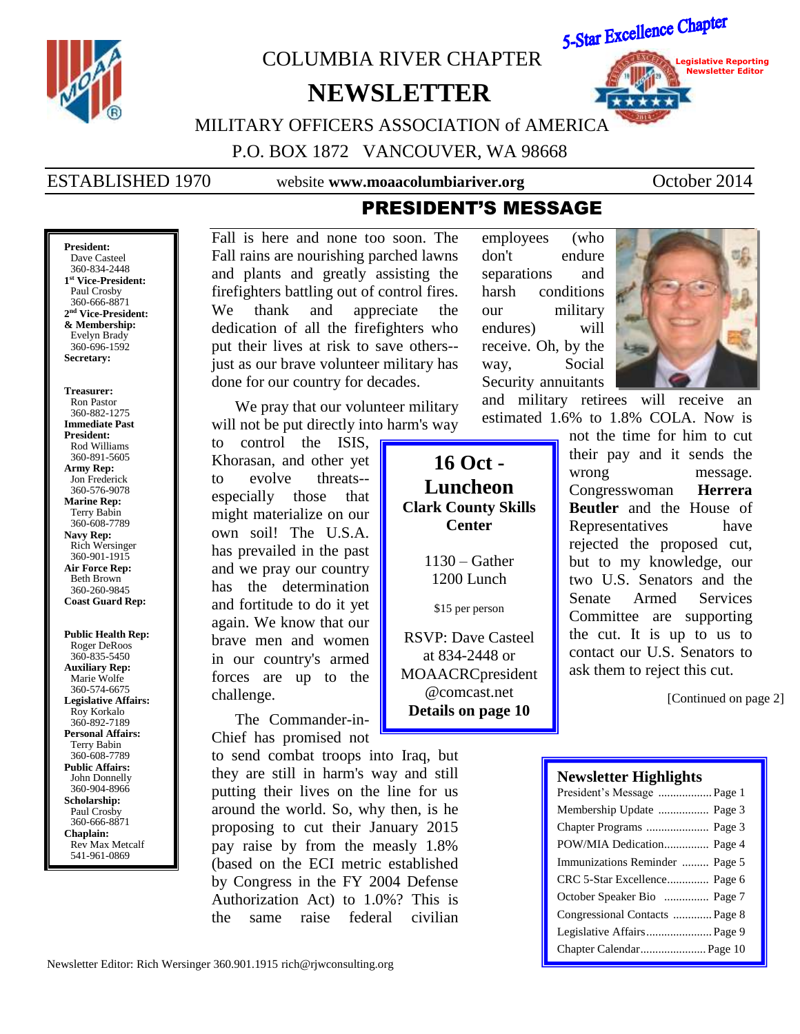

**Public Health Rep:** Roger DeRoos 360-835-5450 **Auxiliary Rep:** Marie Wolfe 360-574-6675 **Legislative Affairs:** Roy Korkalo 360-892-7189 **Personal Affairs:** Terry Babin 360-608-7789 **Public Affairs:** John Donnelly 360-904-8966 **Scholarship:** Paul Crosby 360-666-8871 **Chaplain:** Rev Max Metcalf 541-961-0869

**Marine Rep:** Terry Babin 360-608-7789 **Navy Rep:** Rich Wersinger 360-901-1915 **Air Force Rep:** Beth Brown 360-260-9845 **Coast Guard Rep:**

has the determination and fortitude to do it yet again. We know that our brave men and women in our country's armed forces are up to the

might materialize on our own soil! The U.S.A. has prevailed in the past and we pray our country

The Commander-in-Chief has promised not

challenge.

to send combat troops into Iraq, but they are still in harm's way and still putting their lives on the line for us around the world. So, why then, is he proposing to cut their January 2015 pay raise by from the measly 1.8% (based on the ECI metric established by Congress in the FY 2004 Defense Authorization Act) to 1.0%? This is the same raise federal civilian

1130 – Gather 1200 Lunch \$15 per person RSVP: Dave Casteel at 834-2448 or MOAACRCpresident @comcast.net

**Clark County Skills Center**

**Details on page 10**

Congresswoman **Herrera Beutler** and the House of Representatives have rejected the proposed cut, but to my knowledge, our two U.S. Senators and the Senate Armed Services Committee are supporting the cut. It is up to us to contact our U.S. Senators to ask them to reject this cut.

[Continued on page 2]

# **Newsletter Highlights**

| President's Message  Page 1    |
|--------------------------------|
| Membership Update  Page 3      |
|                                |
| POW/MIA Dedication Page 4      |
| Immunizations Reminder  Page 5 |
| CRC 5-Star Excellence Page 6   |
| October Speaker Bio  Page 7    |
| Congressional Contacts  Page 8 |
| Legislative Affairs Page 9     |
| Chapter Calendar Page 10       |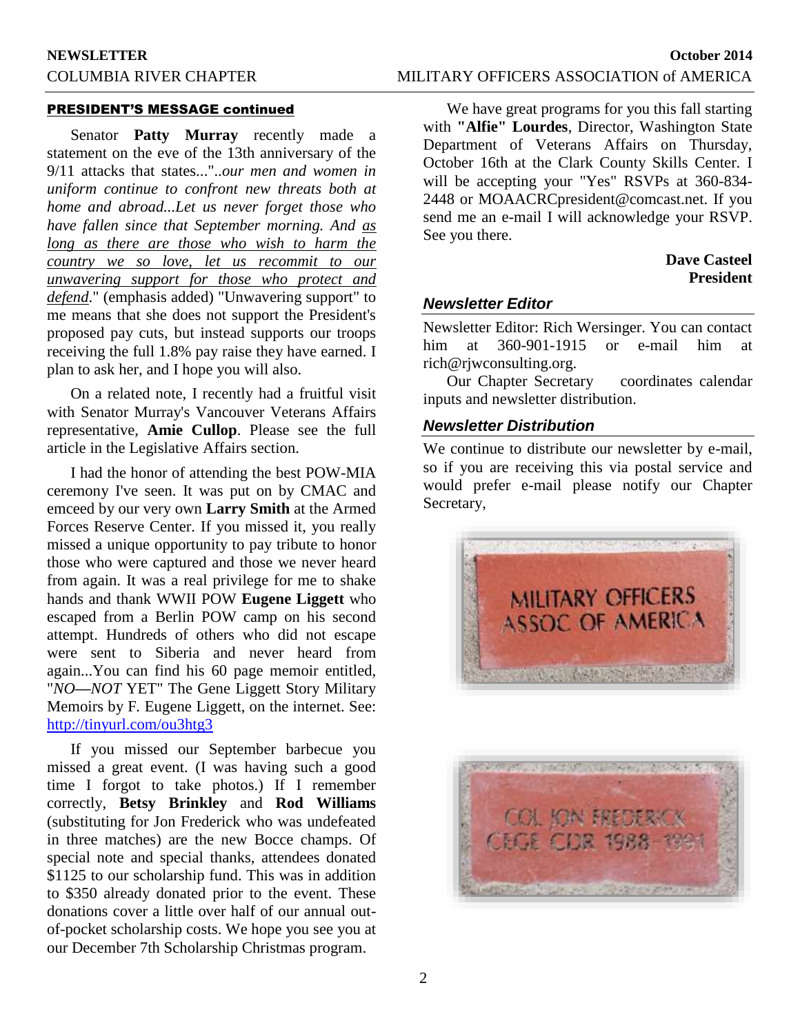#### PRESIDENT'S MESSAGE continued

Senator **Patty Murray** recently made a statement on the eve of the 13th anniversary of the 9/11 attacks that states..."..*our men and women in uniform continue to confront new threats both at home and abroad...Let us never forget those who have fallen since that September morning. And as long as there are those who wish to harm the country we so love, let us recommit to our unwavering support for those who protect and defend*." (emphasis added) "Unwavering support" to me means that she does not support the President's proposed pay cuts, but instead supports our troops receiving the full 1.8% pay raise they have earned. I plan to ask her, and I hope you will also.

On a related note, I recently had a fruitful visit with Senator Murray's Vancouver Veterans Affairs representative, **Amie Cullop**. Please see the full article in the Legislative Affairs section.

I had the honor of attending the best POW-MIA ceremony I've seen. It was put on by CMAC and emceed by our very own **Larry Smith** at the Armed Forces Reserve Center. If you missed it, you really missed a unique opportunity to pay tribute to honor those who were captured and those we never heard from again. It was a real privilege for me to shake hands and thank WWII POW **Eugene Liggett** who escaped from a Berlin POW camp on his second attempt. Hundreds of others who did not escape were sent to Siberia and never heard from again...You can find his 60 page memoir entitled, "*NO***—***NOT* YET" The Gene Liggett Story Military Memoirs by F*.* Eugene Liggett, on the internet. See: <http://tinyurl.com/ou3htg3>

If you missed our September barbecue you missed a great event. (I was having such a good time I forgot to take photos.) If I remember correctly, **Betsy Brinkley** and **Rod Williams** (substituting for Jon Frederick who was undefeated in three matches) are the new Bocce champs. Of special note and special thanks, attendees donated \$1125 to our scholarship fund. This was in addition to \$350 already donated prior to the event. These donations cover a little over half of our annual outof-pocket scholarship costs. We hope you see you at our December 7th Scholarship Christmas program.

We have great programs for you this fall starting with **"Alfie" Lourdes**, Director, Washington State Department of Veterans Affairs on Thursday, October 16th at the Clark County Skills Center. I will be accepting your "Yes" RSVPs at 360-834- 2448 or MOAACRCpresident@comcast.net. If you send me an e-mail I will acknowledge your RSVP. See you there.

# **Dave Casteel President**

### *Newsletter Editor*

Newsletter Editor: Rich Wersinger. You can contact him at 360-901-1915 or e-mail him at rich@rjwconsulting.org.

Our Chapter Secretary coordinates calendar inputs and newsletter distribution.

#### *Newsletter Distribution*

We continue to distribute our newsletter by e-mail, so if you are receiving this via postal service and would prefer e-mail please notify our Chapter Secretary,



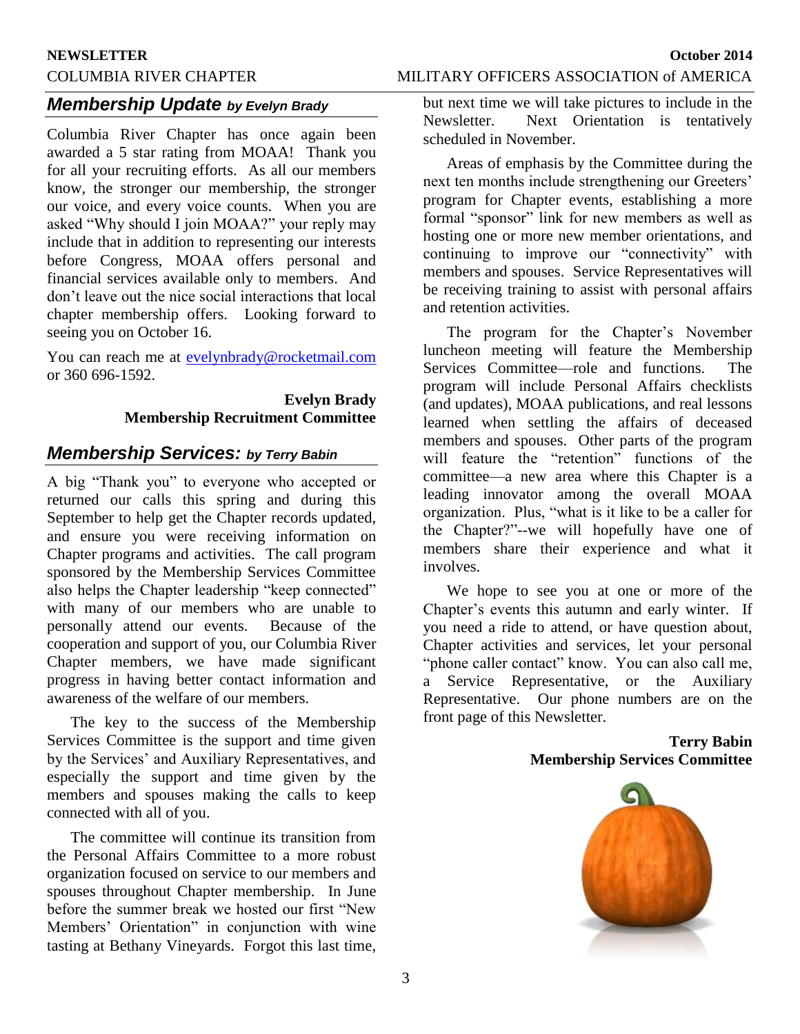#### **NEWSLETTER October 2014**

# COLUMBIA RIVER CHAPTER MILITARY OFFICERS ASSOCIATION of AMERICA

# *Membership Update by Evelyn Brady*

Columbia River Chapter has once again been awarded a 5 star rating from MOAA! Thank you for all your recruiting efforts. As all our members know, the stronger our membership, the stronger our voice, and every voice counts. When you are asked "Why should I join MOAA?" your reply may include that in addition to representing our interests before Congress, MOAA offers personal and financial services available only to members. And don't leave out the nice social interactions that local chapter membership offers. Looking forward to seeing you on October 16.

You can reach me at [evelynbrady@rocketmail.com](mailto:evelynbrady@rocketmail.com) or 360 696-1592.

# **Evelyn Brady Membership Recruitment Committee**

# *Membership Services: by Terry Babin*

A big "Thank you" to everyone who accepted or returned our calls this spring and during this September to help get the Chapter records updated, and ensure you were receiving information on Chapter programs and activities. The call program sponsored by the Membership Services Committee also helps the Chapter leadership "keep connected" with many of our members who are unable to personally attend our events. Because of the cooperation and support of you, our Columbia River Chapter members, we have made significant progress in having better contact information and awareness of the welfare of our members.

The key to the success of the Membership Services Committee is the support and time given by the Services' and Auxiliary Representatives, and especially the support and time given by the members and spouses making the calls to keep connected with all of you.

The committee will continue its transition from the Personal Affairs Committee to a more robust organization focused on service to our members and spouses throughout Chapter membership. In June before the summer break we hosted our first "New Members' Orientation" in conjunction with wine tasting at Bethany Vineyards. Forgot this last time,

but next time we will take pictures to include in the Newsletter. Next Orientation is tentatively scheduled in November.

Areas of emphasis by the Committee during the next ten months include strengthening our Greeters' program for Chapter events, establishing a more formal "sponsor" link for new members as well as hosting one or more new member orientations, and continuing to improve our "connectivity" with members and spouses. Service Representatives will be receiving training to assist with personal affairs and retention activities.

The program for the Chapter's November luncheon meeting will feature the Membership Services Committee—role and functions. The program will include Personal Affairs checklists (and updates), MOAA publications, and real lessons learned when settling the affairs of deceased members and spouses. Other parts of the program will feature the "retention" functions of the committee—a new area where this Chapter is a leading innovator among the overall MOAA organization. Plus, "what is it like to be a caller for the Chapter?"--we will hopefully have one of members share their experience and what it involves.

We hope to see you at one or more of the Chapter's events this autumn and early winter. If you need a ride to attend, or have question about, Chapter activities and services, let your personal "phone caller contact" know. You can also call me, a Service Representative, or the Auxiliary Representative. Our phone numbers are on the front page of this Newsletter.

#### **Terry Babin Membership Services Committee**

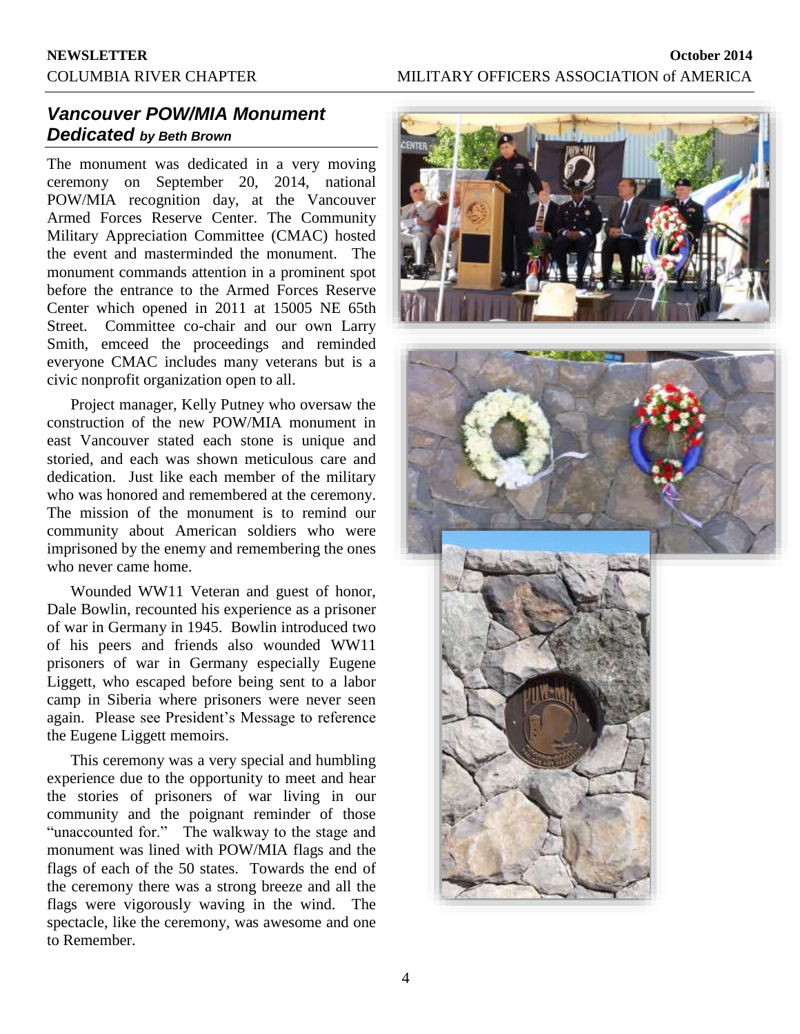# *Vancouver POW/MIA Monument Dedicated by Beth Brown*

The monument was dedicated in a very moving ceremony on September 20, 2014, national POW/MIA recognition day, at the Vancouver Armed Forces Reserve Center. The Community Military Appreciation Committee (CMAC) hosted the event and masterminded the monument. The monument commands attention in a prominent spot before the entrance to the Armed Forces Reserve Center which opened in 2011 at 15005 NE 65th Street. Committee co-chair and our own Larry Smith, emceed the proceedings and reminded everyone CMAC includes many veterans but is a civic nonprofit organization open to all.

Project manager, Kelly Putney who oversaw the construction of the new POW/MIA monument in east Vancouver stated each stone is unique and storied, and each was shown meticulous care and dedication. Just like each member of the military who was honored and remembered at the ceremony. The mission of the monument is to remind our community about American soldiers who were imprisoned by the enemy and remembering the ones who never came home.

Wounded WW11 Veteran and guest of honor, Dale Bowlin, recounted his experience as a prisoner of war in Germany in 1945. Bowlin introduced two of his peers and friends also wounded WW11 prisoners of war in Germany especially Eugene Liggett, who escaped before being sent to a labor camp in Siberia where prisoners were never seen again. Please see President's Message to reference the Eugene Liggett memoirs.

This ceremony was a very special and humbling experience due to the opportunity to meet and hear the stories of prisoners of war living in our community and the poignant reminder of those "unaccounted for." The walkway to the stage and monument was lined with POW/MIA flags and the flags of each of the 50 states. Towards the end of the ceremony there was a strong breeze and all the flags were vigorously waving in the wind. The spectacle, like the ceremony, was awesome and one to Remember.



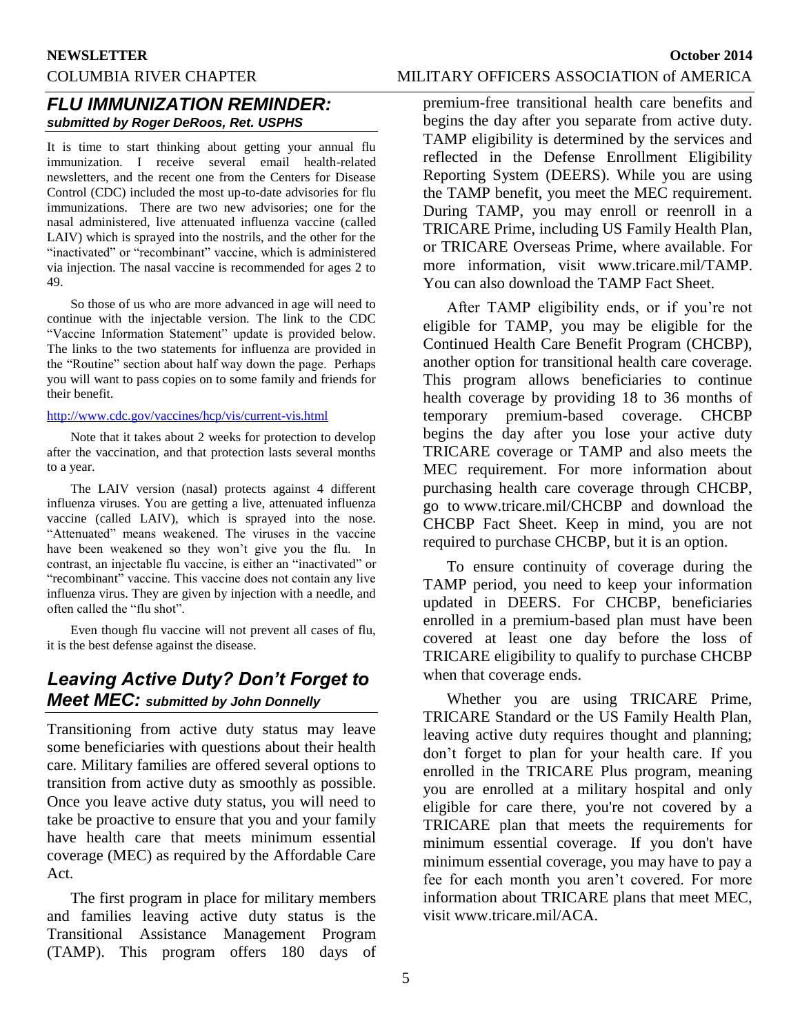# **NEWSLETTER October 2014**

# *FLU IMMUNIZATION REMINDER: submitted by Roger DeRoos, Ret. USPHS*

It is time to start thinking about getting your annual flu immunization. I receive several email health-related newsletters, and the recent one from the Centers for Disease Control (CDC) included the most up-to-date advisories for flu immunizations. There are two new advisories; one for the nasal administered, live attenuated influenza vaccine (called LAIV) which is sprayed into the nostrils, and the other for the "inactivated" or "recombinant" vaccine, which is administered via injection. The nasal vaccine is recommended for ages 2 to 49.

So those of us who are more advanced in age will need to continue with the injectable version. The link to the CDC "Vaccine Information Statement" update is provided below. The links to the two statements for influenza are provided in the "Routine" section about half way down the page. Perhaps you will want to pass copies on to some family and friends for their benefit.

#### <http://www.cdc.gov/vaccines/hcp/vis/current-vis.html>

Note that it takes about 2 weeks for protection to develop after the vaccination, and that protection lasts several months to a year.

The LAIV version (nasal) protects against 4 different influenza viruses. You are getting a live, attenuated influenza vaccine (called LAIV), which is sprayed into the nose. "Attenuated" means weakened. The viruses in the vaccine have been weakened so they won't give you the flu. In contrast, an injectable flu vaccine, is either an "inactivated" or "recombinant" vaccine. This vaccine does not contain any live influenza virus. They are given by injection with a needle, and often called the "flu shot".

Even though flu vaccine will not prevent all cases of flu, it is the best defense against the disease.

# *Leaving Active Duty? Don't Forget to Meet MEC: submitted by John Donnelly*

Transitioning from active duty status may leave some beneficiaries with questions about their health care. Military families are offered several options to transition from active duty as smoothly as possible. Once you leave active duty status, you will need to take be proactive to ensure that you and your family have health care that meets minimum essential coverage (MEC) as required by the Affordable Care Act.

The first program in place for military members and families leaving active duty status is the Transitional Assistance Management Program (TAMP). This program offers 180 days of

### COLUMBIA RIVER CHAPTER MILITARY OFFICERS ASSOCIATION of AMERICA

premium-free transitional health care benefits and begins the day after you separate from active duty. TAMP eligibility is determined by the services and reflected in the Defense Enrollment Eligibility Reporting System (DEERS). While you are using the TAMP benefit, you meet the MEC requirement. During TAMP, you may enroll or reenroll in a TRICARE Prime, including US Family Health Plan, or TRICARE Overseas Prime, where available. For more information, visit [www.tricare.mil/TAMP.](http://www.tricare.mil/TAMP) You can also download the TAMP Fact Sheet.

After TAMP eligibility ends, or if you're not eligible for TAMP, you may be eligible for the Continued Health Care Benefit Program (CHCBP), another option for transitional health care coverage. This program allows beneficiaries to continue health coverage by providing 18 to 36 months of temporary premium-based coverage. CHCBP begins the day after you lose your active duty TRICARE coverage or TAMP and also meets the MEC requirement. For more information about purchasing health care coverage through CHCBP, go to [www.tricare.mil/CHCBP](http://www.tricare.mil/CHCBP) and download the CHCBP Fact Sheet. Keep in mind, you are not required to purchase CHCBP, but it is an option.

To ensure continuity of coverage during the TAMP period, you need to keep your information updated in DEERS. For CHCBP, beneficiaries enrolled in a premium-based plan must have been covered at least one day before the loss of TRICARE eligibility to qualify to purchase CHCBP when that coverage ends.

Whether you are using TRICARE Prime, TRICARE Standard or the US Family Health Plan, leaving active duty requires thought and planning; don't forget to plan for your health care. If you enrolled in the TRICARE Plus program, meaning you are enrolled at a military hospital and only eligible for care there, you're not covered by a TRICARE plan that meets the requirements for minimum essential coverage. If you don't have minimum essential coverage, you may have to pay a fee for each month you aren't covered. For more information about TRICARE plans that meet MEC, visit [www.tricare.mil/ACA.](http://www.tricare.mil/ACA)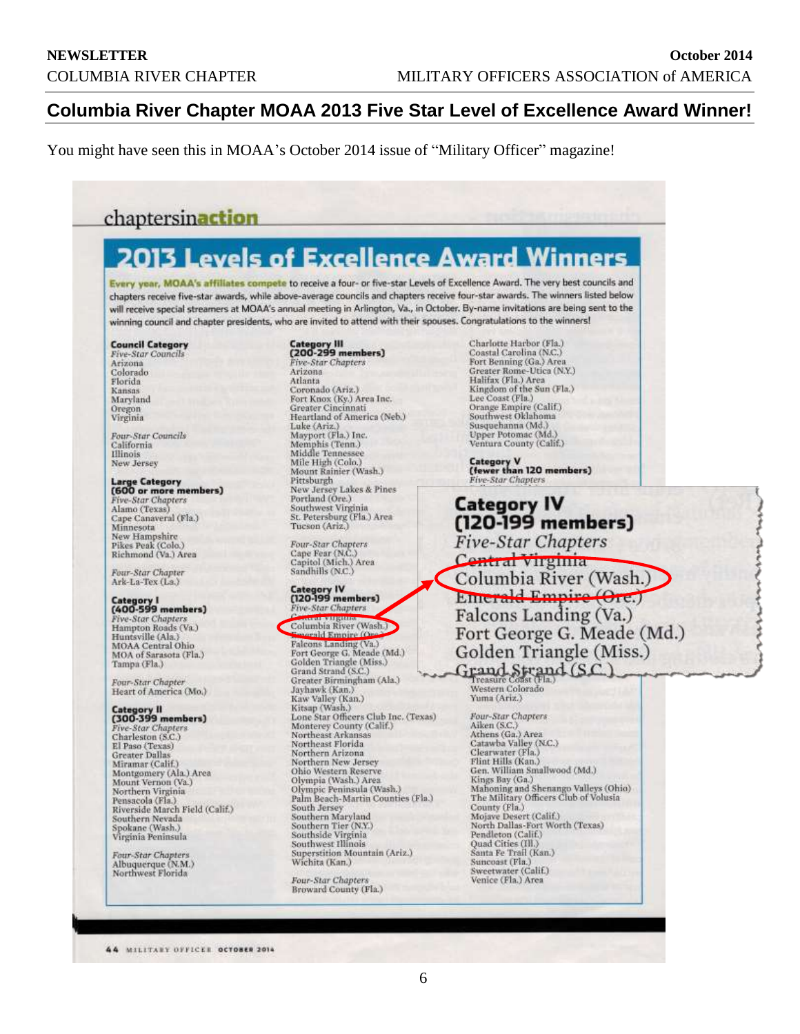# **Columbia River Chapter MOAA 2013 Five Star Level of Excellence Award Winner!**

You might have seen this in MOAA's October 2014 issue of "Military Officer" magazine!

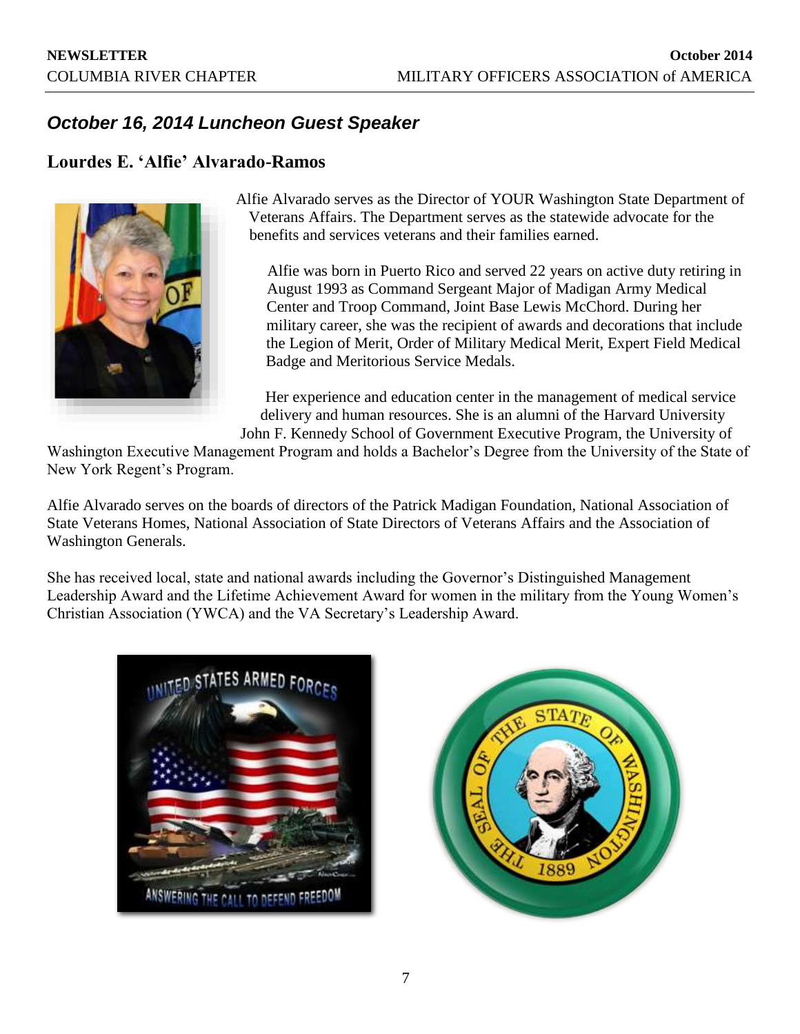# *October 16, 2014 Luncheon Guest Speaker*

# **Lourdes E. 'Alfie' Alvarado-Ramos**



Alfie Alvarado serves as the Director of YOUR Washington State Department of Veterans Affairs. The Department serves as the statewide advocate for the benefits and services veterans and their families earned.

Alfie was born in Puerto Rico and served 22 years on active duty retiring in August 1993 as Command Sergeant Major of Madigan Army Medical Center and Troop Command, Joint Base Lewis McChord. During her military career, she was the recipient of awards and decorations that include the Legion of Merit, Order of Military Medical Merit, Expert Field Medical Badge and Meritorious Service Medals.

Her experience and education center in the management of medical service delivery and human resources. She is an alumni of the Harvard University

John F. Kennedy School of Government Executive Program, the University of Washington Executive Management Program and holds a Bachelor's Degree from the University of the State of New York Regent's Program.

Alfie Alvarado serves on the boards of directors of the Patrick Madigan Foundation, National Association of State Veterans Homes, National Association of State Directors of Veterans Affairs and the Association of Washington Generals.

She has received local, state and national awards including the Governor's Distinguished Management Leadership Award and the Lifetime Achievement Award for women in the military from the Young Women's Christian Association (YWCA) and the VA Secretary's Leadership Award.



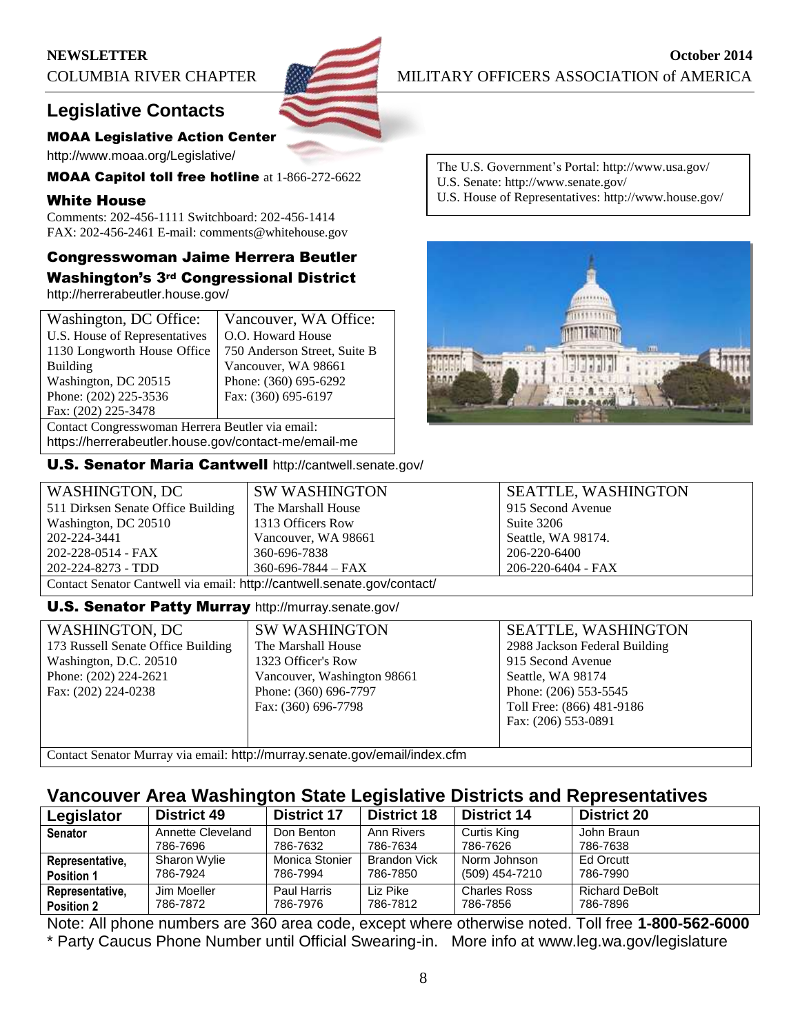# **Legislative Contacts**

# MOAA Legislative Action Center

http://www.moaa.org/Legislative/

MOAA Capitol toll free hotline at 1-866-272-6622

# White House

Comments: 202-456-1111 Switchboard: 202-456-1414 FAX: 202-456-2461 E-mail: comments@whitehouse.gov

# Congresswoman Jaime Herrera Beutler

Washington's 3rd Congressional District http://herrerabeutler.house.gov/

| Washington, DC Office:                               | Vancouver, WA Office:        |
|------------------------------------------------------|------------------------------|
| U.S. House of Representatives                        | O.O. Howard House            |
| 1130 Longworth House Office                          | 750 Anderson Street, Suite B |
| Building                                             | Vancouver, WA 98661          |
| Washington, DC 20515                                 | Phone: (360) 695-6292        |
| Phone: (202) 225-3536                                | Fax: (360) 695-6197          |
| Fax: (202) 225-3478                                  |                              |
| Contact Congresswoman Herrera Beutler via email:     |                              |
| https://herrerabeutler.house.gov/contact-me/email-me |                              |

U.S. Senator Maria Cantwell http://cantwell.senate.gov/

The U.S. Government's Portal: http://www.usa.gov/ U.S. Senate: http://www.senate.gov/

U.S. House of Representatives: http://www.house.gov/



| WASHINGTON, DC                                                          | <b>SW WASHINGTON</b>     | <b>SEATTLE, WASHINGTON</b> |  |
|-------------------------------------------------------------------------|--------------------------|----------------------------|--|
| 511 Dirksen Senate Office Building                                      | The Marshall House       | 915 Second Avenue          |  |
| Washington, DC 20510                                                    | 1313 Officers Row        | Suite 3206                 |  |
| 202-224-3441                                                            | Vancouver, WA 98661      | Seattle, WA 98174.         |  |
| 202-228-0514 - FAX                                                      | 360-696-7838             | 206-220-6400               |  |
| 202-224-8273 - TDD                                                      | $360 - 696 - 7844 - FAX$ | 206-220-6404 - FAX         |  |
| Contact Senator Cantwell via email: http://cantwell.senate.gov/contact/ |                          |                            |  |

# **U.S. Senator Patty Murray http://murray.senate.gov/**

| <b>WASHINGTON, DC</b>              | SV  |
|------------------------------------|-----|
| 173 Russell Senate Office Building | The |
| Washington, D.C. 20510             | 132 |
| Phone: (202) 224-2621              | Vai |
| Fax: (202) 224-0238                |     |
|                                    | Fax |
|                                    |     |
|                                    |     |

V WASHINGTON e Marshall House 23 Officer's Row ncouver, Washington 98661 one: (360) 696-7797  $x: (360)$  696-7798

SEATTLE, WASHINGTON 2988 Jackson Federal Building 915 Second Avenue Seattle, WA 98174 Phone: (206) 553-5545 Toll Free: (866) 481-9186 Fax: (206) 553-0891

Contact Senator Murray via email: http://murray.senate.gov/email/index.cfm

# **Vancouver Area Washington State Legislative Districts and Representatives**

| Legislator        | <b>District 49</b> | <b>District 17</b> | <b>District 18</b>  | <b>District 14</b>  | <b>District 20</b>    |
|-------------------|--------------------|--------------------|---------------------|---------------------|-----------------------|
| <b>Senator</b>    | Annette Cleveland  | Don Benton         | Ann Rivers          | Curtis King         | John Braun            |
|                   | 786-7696           | 786-7632           | 786-7634            | 786-7626            | 786-7638              |
| Representative,   | Sharon Wylie       | Monica Stonier     | <b>Brandon Vick</b> | Norm Johnson        | Ed Orcutt             |
| <b>Position 1</b> | 786-7924           | 786-7994           | 786-7850            | (509) 454-7210      | 786-7990              |
| Representative,   | Jim Moeller        | Paul Harris        | Liz Pike            | <b>Charles Ross</b> | <b>Richard DeBolt</b> |
| <b>Position 2</b> | 786-7872           | 786-7976           | 786-7812            | 786-7856            | 786-7896              |

Note: All phone numbers are 360 area code, except where otherwise noted. Toll free **1-800-562-6000** \* Party Caucus Phone Number until Official Swearing-in. More info at www.leg.wa.gov/legislature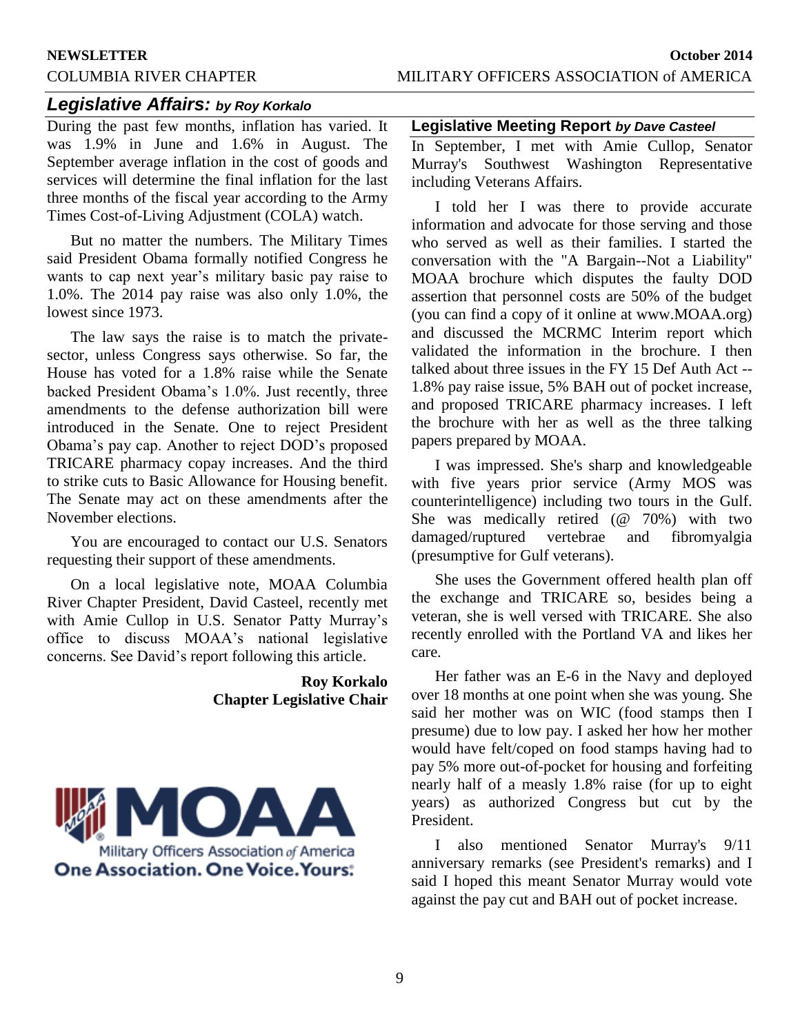# *Legislative Affairs: by Roy Korkalo*

During the past few months, inflation has varied. It was 1.9% in June and 1.6% in August. The September average inflation in the cost of goods and services will determine the final inflation for the last three months of the fiscal year according to the Army Times Cost-of-Living Adjustment (COLA) watch.

But no matter the numbers. The Military Times said President Obama formally notified Congress he wants to cap next year's military basic pay raise to 1.0%. The 2014 pay raise was also only 1.0%, the lowest since 1973.

The law says the raise is to match the privatesector, unless Congress says otherwise. So far, the House has voted for a 1.8% raise while the Senate backed President Obama's 1.0%. Just recently, three amendments to the defense authorization bill were introduced in the Senate. One to reject President Obama's pay cap. Another to reject DOD's proposed TRICARE pharmacy copay increases. And the third to strike cuts to Basic Allowance for Housing benefit. The Senate may act on these amendments after the November elections.

You are encouraged to contact our U.S. Senators requesting their support of these amendments.

On a local legislative note, MOAA Columbia River Chapter President, David Casteel, recently met with Amie Cullop in U.S. Senator Patty Murray's office to discuss MOAA's national legislative concerns. See David's report following this article.

# **Roy Korkalo Chapter Legislative Chair**



### **Legislative Meeting Report** *by Dave Casteel*

In September, I met with Amie Cullop, Senator Murray's Southwest Washington Representative including Veterans Affairs.

I told her I was there to provide accurate information and advocate for those serving and those who served as well as their families. I started the conversation with the "A Bargain--Not a Liability" MOAA brochure which disputes the faulty DOD assertion that personnel costs are 50% of the budget (you can find a copy of it online at www.MOAA.org) and discussed the MCRMC Interim report which validated the information in the brochure. I then talked about three issues in the FY 15 Def Auth Act -- 1.8% pay raise issue, 5% BAH out of pocket increase, and proposed TRICARE pharmacy increases. I left the brochure with her as well as the three talking papers prepared by MOAA.

I was impressed. She's sharp and knowledgeable with five years prior service (Army MOS was counterintelligence) including two tours in the Gulf. She was medically retired (@ 70%) with two damaged/ruptured vertebrae and fibromyalgia (presumptive for Gulf veterans).

She uses the Government offered health plan off the exchange and TRICARE so, besides being a veteran, she is well versed with TRICARE. She also recently enrolled with the Portland VA and likes her care.

Her father was an E-6 in the Navy and deployed over 18 months at one point when she was young. She said her mother was on WIC (food stamps then I presume) due to low pay. I asked her how her mother would have felt/coped on food stamps having had to pay 5% more out-of-pocket for housing and forfeiting nearly half of a measly 1.8% raise (for up to eight years) as authorized Congress but cut by the President.

I also mentioned Senator Murray's 9/11 anniversary remarks (see President's remarks) and I said I hoped this meant Senator Murray would vote against the pay cut and BAH out of pocket increase.